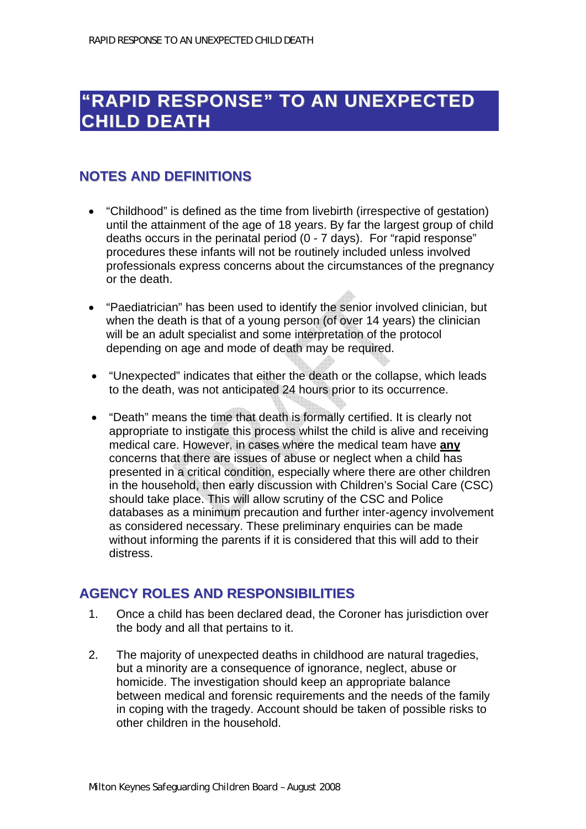# **"RAPID RESPONSE" TO AN UNEXPECTED CHILD DEATH**

### **NOTES AND DEFINITIONS**

- "Childhood" is defined as the time from livebirth (irrespective of gestation) until the attainment of the age of 18 years. By far the largest group of child deaths occurs in the perinatal period (0 - 7 days). For "rapid response" procedures these infants will not be routinely included unless involved professionals express concerns about the circumstances of the pregnancy or the death.
- "Paediatrician" has been used to identify the senior involved clinician, but when the death is that of a young person (of over 14 years) the clinician will be an adult specialist and some interpretation of the protocol depending on age and mode of death may be required.
- "Unexpected" indicates that either the death or the collapse, which leads to the death, was not anticipated 24 hours prior to its occurrence.
- "Death" means the time that death is formally certified. It is clearly not appropriate to instigate this process whilst the child is alive and receiving medical care. However, in cases where the medical team have **any** concerns that there are issues of abuse or neglect when a child has presented in a critical condition, especially where there are other children in the household, then early discussion with Children's Social Care (CSC) should take place. This will allow scrutiny of the CSC and Police databases as a minimum precaution and further inter-agency involvement as considered necessary. These preliminary enquiries can be made without informing the parents if it is considered that this will add to their distress.

#### **AGENCY ROLES AND RESPONSIBILITIES**

- 1. Once a child has been declared dead, the Coroner has jurisdiction over the body and all that pertains to it.
- 2. The majority of unexpected deaths in childhood are natural tragedies, but a minority are a consequence of ignorance, neglect, abuse or homicide. The investigation should keep an appropriate balance between medical and forensic requirements and the needs of the family in coping with the tragedy. Account should be taken of possible risks to other children in the household.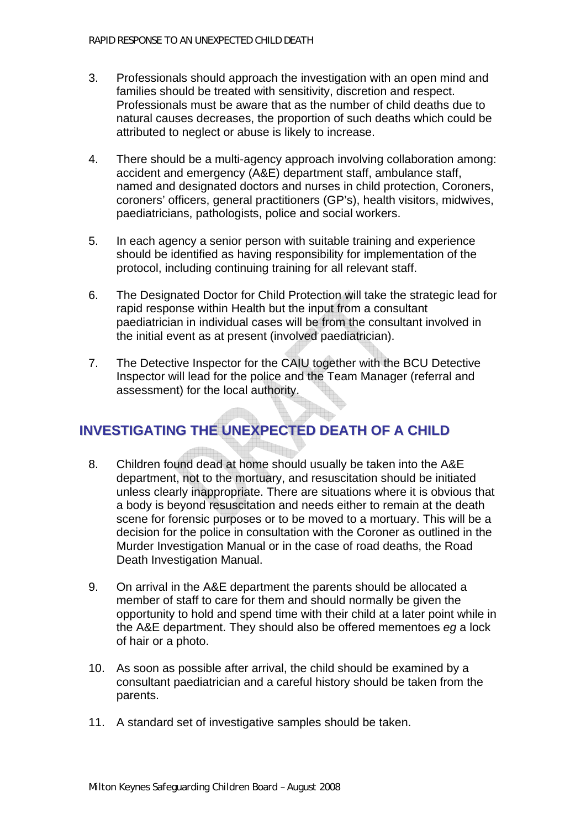- 3. Professionals should approach the investigation with an open mind and families should be treated with sensitivity, discretion and respect. Professionals must be aware that as the number of child deaths due to natural causes decreases, the proportion of such deaths which could be attributed to neglect or abuse is likely to increase.
- 4. There should be a multi-agency approach involving collaboration among: accident and emergency (A&E) department staff, ambulance staff, named and designated doctors and nurses in child protection, Coroners, coroners' officers, general practitioners (GP's), health visitors, midwives, paediatricians, pathologists, police and social workers.
- 5. In each agency a senior person with suitable training and experience should be identified as having responsibility for implementation of the protocol, including continuing training for all relevant staff.
- 6. The Designated Doctor for Child Protection will take the strategic lead for rapid response within Health but the input from a consultant paediatrician in individual cases will be from the consultant involved in the initial event as at present (involved paediatrician).
- 7. The Detective Inspector for the CAIU together with the BCU Detective Inspector will lead for the police and the Team Manager (referral and assessment) for the local authority.

# **INVESTIGATING THE UNEXPECTED DEATH OF A CHILD**

- 8. Children found dead at home should usually be taken into the A&E department, not to the mortuary, and resuscitation should be initiated unless clearly inappropriate. There are situations where it is obvious that a body is beyond resuscitation and needs either to remain at the death scene for forensic purposes or to be moved to a mortuary. This will be a decision for the police in consultation with the Coroner as outlined in the Murder Investigation Manual or in the case of road deaths, the Road Death Investigation Manual.
- 9. On arrival in the A&E department the parents should be allocated a member of staff to care for them and should normally be given the opportunity to hold and spend time with their child at a later point while in the A&E department. They should also be offered mementoes *eg* a lock of hair or a photo.
- 10. As soon as possible after arrival, the child should be examined by a consultant paediatrician and a careful history should be taken from the parents.
- 11. A standard set of investigative samples should be taken.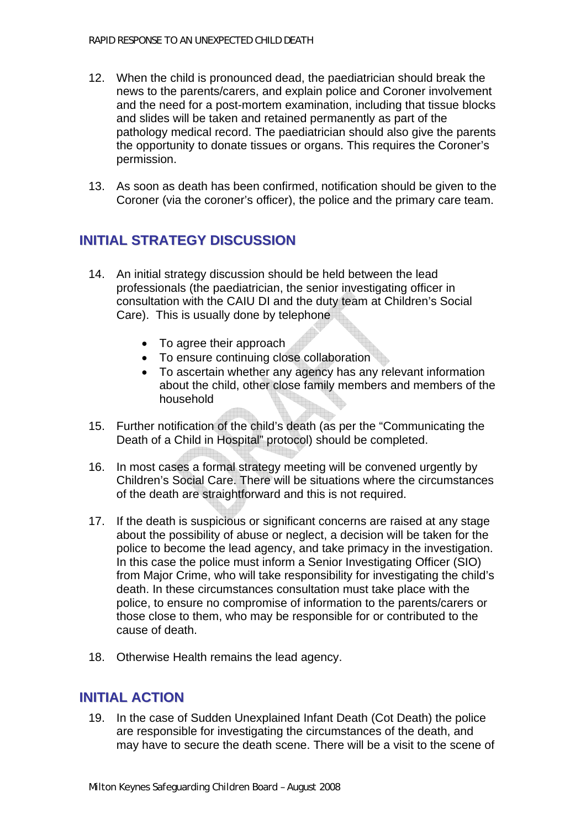- 12. When the child is pronounced dead, the paediatrician should break the news to the parents/carers, and explain police and Coroner involvement and the need for a post-mortem examination, including that tissue blocks and slides will be taken and retained permanently as part of the pathology medical record. The paediatrician should also give the parents the opportunity to donate tissues or organs. This requires the Coroner's permission.
- 13. As soon as death has been confirmed, notification should be given to the Coroner (via the coroner's officer), the police and the primary care team.

# **INITIAL STRATEGY DISCUSSION**

- 14. An initial strategy discussion should be held between the lead professionals (the paediatrician, the senior investigating officer in consultation with the CAIU DI and the duty team at Children's Social Care). This is usually done by telephone
	- To agree their approach
	- To ensure continuing close collaboration
	- To ascertain whether any agency has any relevant information about the child, other close family members and members of the household
- 15. Further notification of the child's death (as per the "Communicating the Death of a Child in Hospital" protocol) should be completed.
- 16. In most cases a formal strategy meeting will be convened urgently by Children's Social Care. There will be situations where the circumstances of the death are straightforward and this is not required.
- 17. If the death is suspicious or significant concerns are raised at any stage about the possibility of abuse or neglect, a decision will be taken for the police to become the lead agency, and take primacy in the investigation. In this case the police must inform a Senior Investigating Officer (SIO) from Major Crime, who will take responsibility for investigating the child's death. In these circumstances consultation must take place with the police, to ensure no compromise of information to the parents/carers or those close to them, who may be responsible for or contributed to the cause of death.
- 18. Otherwise Health remains the lead agency.

#### **INITIAL ACTION**

19. In the case of Sudden Unexplained Infant Death (Cot Death) the police are responsible for investigating the circumstances of the death, and may have to secure the death scene. There will be a visit to the scene of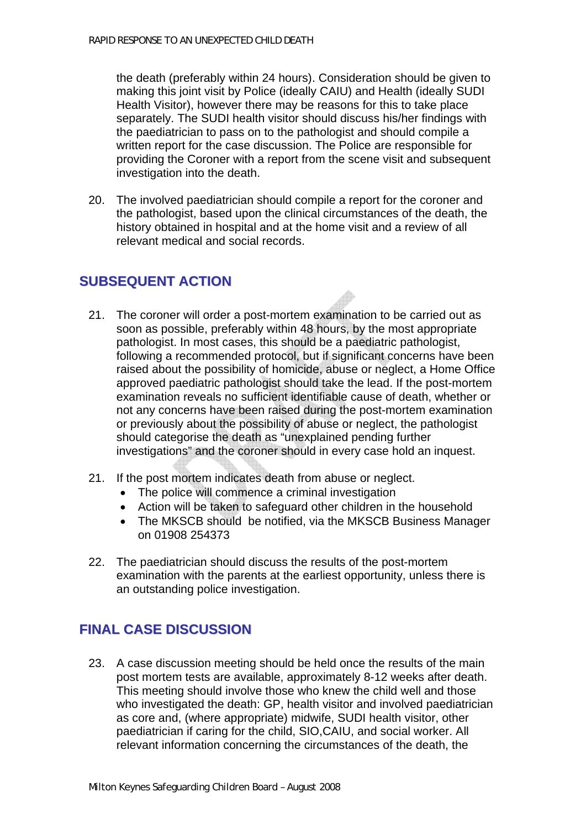the death (preferably within 24 hours). Consideration should be given to making this joint visit by Police (ideally CAIU) and Health (ideally SUDI Health Visitor), however there may be reasons for this to take place separately. The SUDI health visitor should discuss his/her findings with the paediatrician to pass on to the pathologist and should compile a written report for the case discussion. The Police are responsible for providing the Coroner with a report from the scene visit and subsequent investigation into the death.

20. The involved paediatrician should compile a report for the coroner and the pathologist, based upon the clinical circumstances of the death, the history obtained in hospital and at the home visit and a review of all relevant medical and social records.

# **SUBSEQUENT ACTION**

- 21. The coroner will order a post-mortem examination to be carried out as soon as possible, preferably within 48 hours, by the most appropriate pathologist. In most cases, this should be a paediatric pathologist, following a recommended protocol, but if significant concerns have been raised about the possibility of homicide, abuse or neglect, a Home Office approved paediatric pathologist should take the lead. If the post-mortem examination reveals no sufficient identifiable cause of death, whether or not any concerns have been raised during the post-mortem examination or previously about the possibility of abuse or neglect, the pathologist should categorise the death as "unexplained pending further investigations" and the coroner should in every case hold an inquest.
- 21. If the post mortem indicates death from abuse or neglect.
	- The police will commence a criminal investigation
	- Action will be taken to safeguard other children in the household
	- The MKSCB should be notified, via the MKSCB Business Manager on 01908 254373
- 22. The paediatrician should discuss the results of the post-mortem examination with the parents at the earliest opportunity, unless there is an outstanding police investigation.

### **FINAL CASE DISCUSSION**

23. A case discussion meeting should be held once the results of the main post mortem tests are available, approximately 8-12 weeks after death. This meeting should involve those who knew the child well and those who investigated the death: GP, health visitor and involved paediatrician as core and, (where appropriate) midwife, SUDI health visitor, other paediatrician if caring for the child, SIO,CAIU, and social worker. All relevant information concerning the circumstances of the death, the